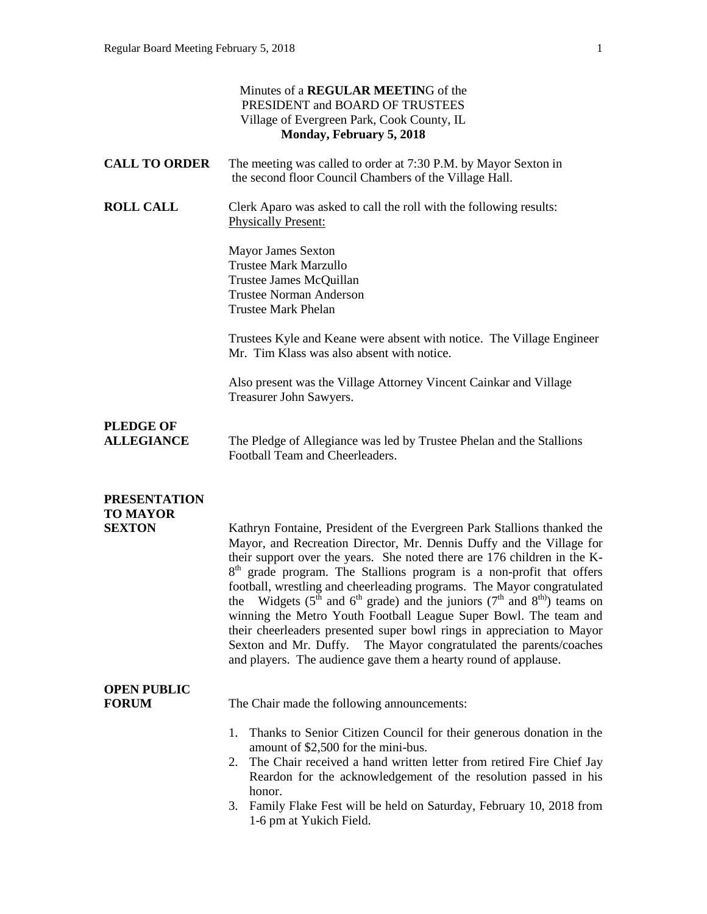| Monday, February 5, 2018                                                                                                                                                                                                                                                                                                                                                                                                                                                                                                                                                                                                                                                                                                                                   |
|------------------------------------------------------------------------------------------------------------------------------------------------------------------------------------------------------------------------------------------------------------------------------------------------------------------------------------------------------------------------------------------------------------------------------------------------------------------------------------------------------------------------------------------------------------------------------------------------------------------------------------------------------------------------------------------------------------------------------------------------------------|
| The meeting was called to order at 7:30 P.M. by Mayor Sexton in<br>the second floor Council Chambers of the Village Hall.                                                                                                                                                                                                                                                                                                                                                                                                                                                                                                                                                                                                                                  |
| Clerk Aparo was asked to call the roll with the following results:                                                                                                                                                                                                                                                                                                                                                                                                                                                                                                                                                                                                                                                                                         |
|                                                                                                                                                                                                                                                                                                                                                                                                                                                                                                                                                                                                                                                                                                                                                            |
| Trustees Kyle and Keane were absent with notice. The Village Engineer<br>Mr. Tim Klass was also absent with notice.                                                                                                                                                                                                                                                                                                                                                                                                                                                                                                                                                                                                                                        |
| Also present was the Village Attorney Vincent Cainkar and Village                                                                                                                                                                                                                                                                                                                                                                                                                                                                                                                                                                                                                                                                                          |
| The Pledge of Allegiance was led by Trustee Phelan and the Stallions                                                                                                                                                                                                                                                                                                                                                                                                                                                                                                                                                                                                                                                                                       |
| Kathryn Fontaine, President of the Evergreen Park Stallions thanked the<br>Mayor, and Recreation Director, Mr. Dennis Duffy and the Village for<br>their support over the years. She noted there are 176 children in the K-<br>$8th$ grade program. The Stallions program is a non-profit that offers<br>football, wrestling and cheerleading programs. The Mayor congratulated<br>the Widgets ( $5th$ and $6th$ grade) and the juniors ( $7th$ and $8th$ ) teams on<br>winning the Metro Youth Football League Super Bowl. The team and<br>their cheerleaders presented super bowl rings in appreciation to Mayor<br>Sexton and Mr. Duffy. The Mayor congratulated the parents/coaches<br>and players. The audience gave them a hearty round of applause. |
| The Chair made the following announcements:                                                                                                                                                                                                                                                                                                                                                                                                                                                                                                                                                                                                                                                                                                                |
| Thanks to Senior Citizen Council for their generous donation in the<br>amount of \$2,500 for the mini-bus.<br>The Chair received a hand written letter from retired Fire Chief Jay<br>Reardon for the acknowledgement of the resolution passed in his<br>Family Flake Fest will be held on Saturday, February 10, 2018 from                                                                                                                                                                                                                                                                                                                                                                                                                                |
|                                                                                                                                                                                                                                                                                                                                                                                                                                                                                                                                                                                                                                                                                                                                                            |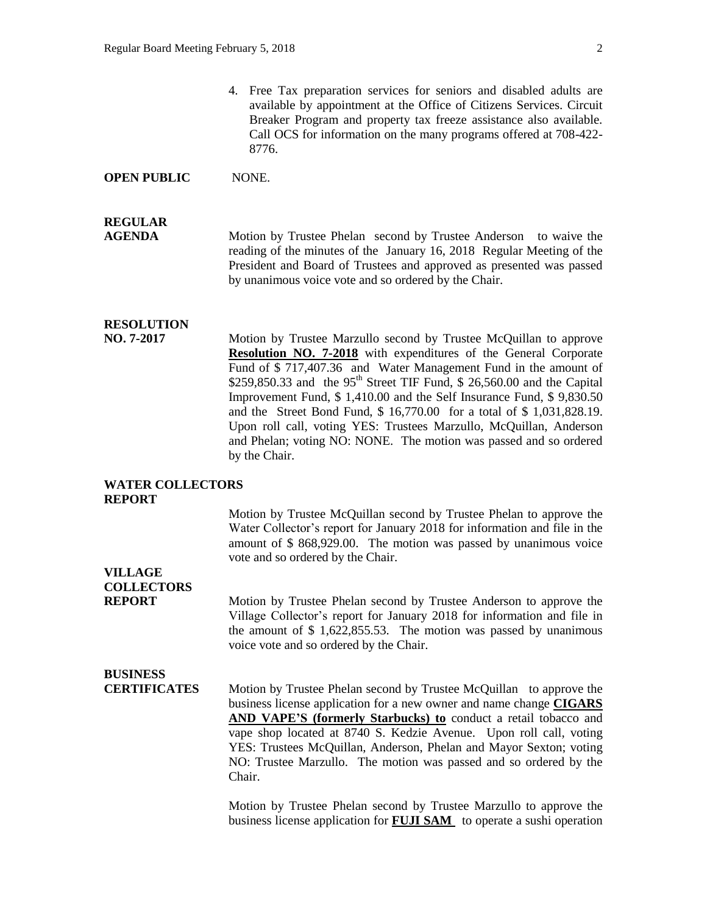4. Free Tax preparation services for seniors and disabled adults are available by appointment at the Office of Citizens Services. Circuit Breaker Program and property tax freeze assistance also available. Call OCS for information on the many programs offered at 708-422- 8776.

#### **OPEN PUBLIC** NONE.

## **REGULAR**

**AGENDA Motion by Trustee Phelan second by Trustee Anderson** to waive the reading of the minutes of the January 16, 2018 Regular Meeting of the President and Board of Trustees and approved as presented was passed by unanimous voice vote and so ordered by the Chair.

### **RESOLUTION**

**NO. 7-2017** Motion by Trustee Marzullo second by Trustee McQuillan to approve **Resolution NO. 7-2018** with expenditures of the General Corporate Fund of \$ 717,407.36 and Water Management Fund in the amount of \$259,850.33 and the  $95<sup>th</sup>$  Street TIF Fund, \$ 26,560.00 and the Capital Improvement Fund, \$ 1,410.00 and the Self Insurance Fund, \$ 9,830.50 and the Street Bond Fund, \$ 16,770.00 for a total of \$ 1,031,828.19. Upon roll call, voting YES: Trustees Marzullo, McQuillan, Anderson and Phelan; voting NO: NONE. The motion was passed and so ordered by the Chair.

#### **WATER COLLECTORS REPORT**

Motion by Trustee McQuillan second by Trustee Phelan to approve the Water Collector's report for January 2018 for information and file in the amount of \$ 868,929.00. The motion was passed by unanimous voice vote and so ordered by the Chair.

#### **VILLAGE COLLECTORS**

**REPORT** Motion by Trustee Phelan second by Trustee Anderson to approve the Village Collector's report for January 2018 for information and file in the amount of \$ 1,622,855.53. The motion was passed by unanimous voice vote and so ordered by the Chair.

### **BUSINESS**

**CERTIFICATES** Motion by Trustee Phelan second by Trustee McQuillan to approve the business license application for a new owner and name change **CIGARS AND VAPE'S (formerly Starbucks) to** conduct a retail tobacco and vape shop located at 8740 S. Kedzie Avenue. Upon roll call, voting YES: Trustees McQuillan, Anderson, Phelan and Mayor Sexton; voting NO: Trustee Marzullo. The motion was passed and so ordered by the Chair.

> Motion by Trustee Phelan second by Trustee Marzullo to approve the business license application for **FUJI SAM** to operate a sushi operation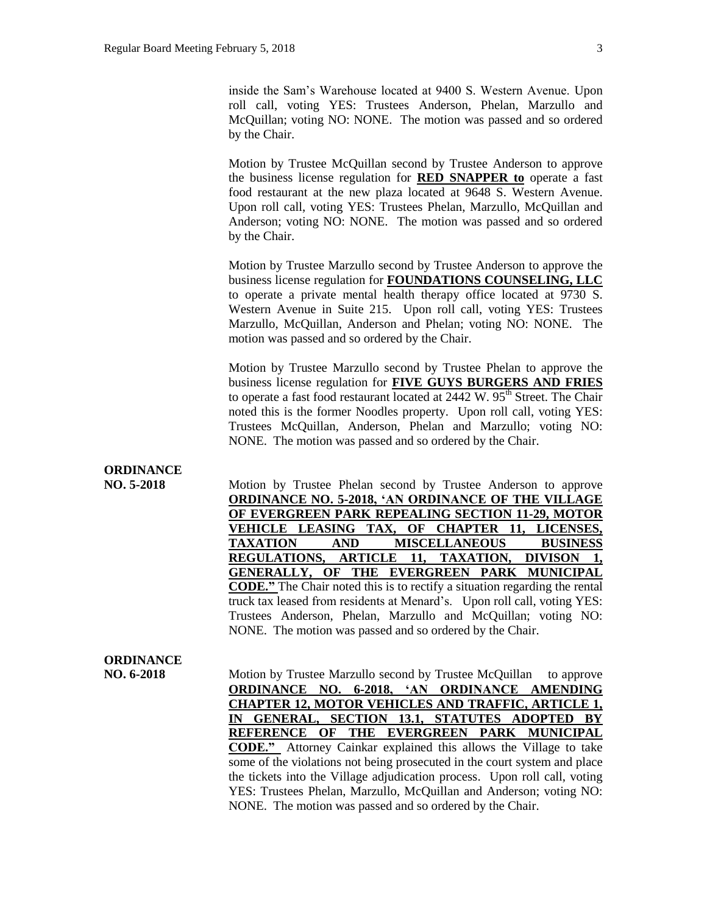inside the Sam's Warehouse located at 9400 S. Western Avenue. Upon roll call, voting YES: Trustees Anderson, Phelan, Marzullo and McQuillan; voting NO: NONE. The motion was passed and so ordered by the Chair.

Motion by Trustee McQuillan second by Trustee Anderson to approve the business license regulation for **RED SNAPPER to** operate a fast food restaurant at the new plaza located at 9648 S. Western Avenue. Upon roll call, voting YES: Trustees Phelan, Marzullo, McQuillan and Anderson; voting NO: NONE. The motion was passed and so ordered by the Chair.

Motion by Trustee Marzullo second by Trustee Anderson to approve the business license regulation for **FOUNDATIONS COUNSELING, LLC**  to operate a private mental health therapy office located at 9730 S. Western Avenue in Suite 215. Upon roll call, voting YES: Trustees Marzullo, McQuillan, Anderson and Phelan; voting NO: NONE. The motion was passed and so ordered by the Chair.

Motion by Trustee Marzullo second by Trustee Phelan to approve the business license regulation for **FIVE GUYS BURGERS AND FRIES** to operate a fast food restaurant located at  $2442 \text{ W}$ .  $95^{\text{th}}$  Street. The Chair noted this is the former Noodles property. Upon roll call, voting YES: Trustees McQuillan, Anderson, Phelan and Marzullo; voting NO: NONE. The motion was passed and so ordered by the Chair.

#### **ORDINANCE**

**NO. 5-2018** Motion by Trustee Phelan second by Trustee Anderson to approve **ORDINANCE NO. 5-2018, 'AN ORDINANCE OF THE VILLAGE OF EVERGREEN PARK REPEALING SECTION 11-29, MOTOR VEHICLE LEASING TAX, OF CHAPTER 11, LICENSES, TAXATION AND MISCELLANEOUS BUSINESS REGULATIONS, ARTICLE 11, TAXATION, DIVISON 1, GENERALLY, OF THE EVERGREEN PARK MUNICIPAL CODE."** The Chair noted this is to rectify a situation regarding the rental truck tax leased from residents at Menard's. Upon roll call, voting YES: Trustees Anderson, Phelan, Marzullo and McQuillan; voting NO: NONE. The motion was passed and so ordered by the Chair.

#### **ORDINANCE**

**NO. 6-2018** Motion by Trustee Marzullo second by Trustee McQuillan to approve **ORDINANCE NO. 6-2018, 'AN ORDINANCE AMENDING CHAPTER 12, MOTOR VEHICLES AND TRAFFIC, ARTICLE 1, IN GENERAL, SECTION 13.1, STATUTES ADOPTED BY REFERENCE OF THE EVERGREEN PARK MUNICIPAL CODE."** Attorney Cainkar explained this allows the Village to take some of the violations not being prosecuted in the court system and place the tickets into the Village adjudication process. Upon roll call, voting YES: Trustees Phelan, Marzullo, McQuillan and Anderson; voting NO: NONE. The motion was passed and so ordered by the Chair.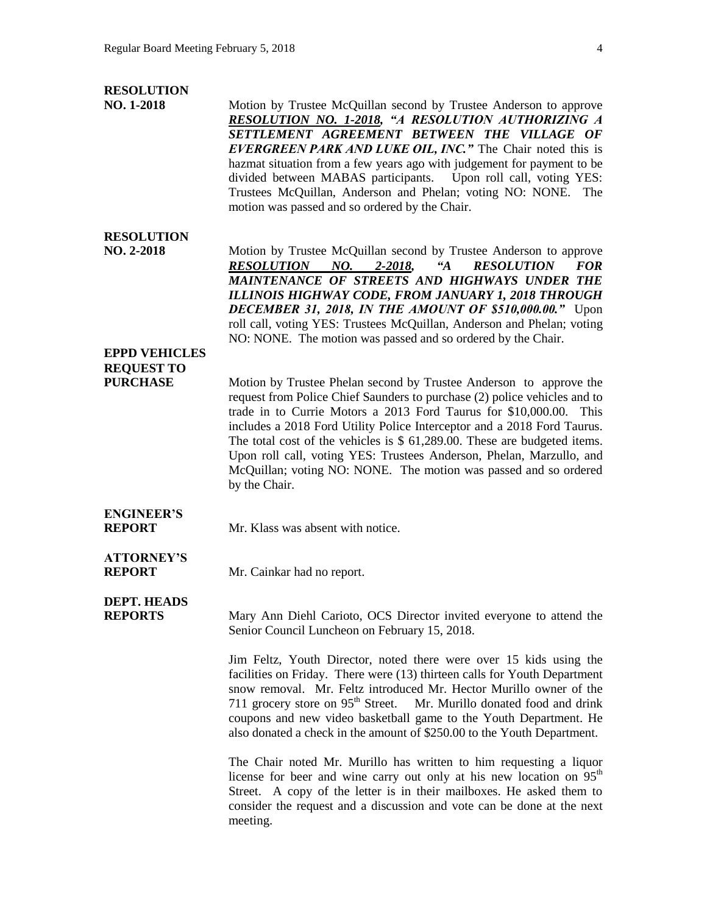#### **RESOLUTION**

**NO. 1-2018** Motion by Trustee McQuillan second by Trustee Anderson to approve *RESOLUTION NO. 1-2018, "A RESOLUTION AUTHORIZING A SETTLEMENT AGREEMENT BETWEEN THE VILLAGE OF EVERGREEN PARK AND LUKE OIL, INC."* The Chair noted this is hazmat situation from a few years ago with judgement for payment to be divided between MABAS participants. Upon roll call, voting YES: Trustees McQuillan, Anderson and Phelan; voting NO: NONE. The motion was passed and so ordered by the Chair.

#### **RESOLUTION**

**NO. 2-2018** Motion by Trustee McQuillan second by Trustee Anderson to approve *RESOLUTION NO. 2-2018, "A RESOLUTION FOR MAINTENANCE OF STREETS AND HIGHWAYS UNDER THE ILLINOIS HIGHWAY CODE, FROM JANUARY 1, 2018 THROUGH DECEMBER 31, 2018, IN THE AMOUNT OF \$510,000.00."* Upon roll call, voting YES: Trustees McQuillan, Anderson and Phelan; voting NO: NONE. The motion was passed and so ordered by the Chair.

## **EPPD VEHICLES REQUEST TO**

**PURCHASE** Motion by Trustee Phelan second by Trustee Anderson to approve the request from Police Chief Saunders to purchase (2) police vehicles and to trade in to Currie Motors a 2013 Ford Taurus for \$10,000.00. This includes a 2018 Ford Utility Police Interceptor and a 2018 Ford Taurus. The total cost of the vehicles is \$ 61,289.00. These are budgeted items. Upon roll call, voting YES: Trustees Anderson, Phelan, Marzullo, and McQuillan; voting NO: NONE. The motion was passed and so ordered by the Chair.

## **ENGINEER'S**

**REPORT** Mr. Klass was absent with notice.

# **ATTORNEY'S**

**REPORT** Mr. Cainkar had no report.

## **DEPT. HEADS**

**REPORTS** Mary Ann Diehl Carioto, OCS Director invited everyone to attend the Senior Council Luncheon on February 15, 2018.

> Jim Feltz, Youth Director, noted there were over 15 kids using the facilities on Friday. There were (13) thirteen calls for Youth Department snow removal. Mr. Feltz introduced Mr. Hector Murillo owner of the 711 grocery store on  $95<sup>th</sup>$  Street. Mr. Murillo donated food and drink coupons and new video basketball game to the Youth Department. He also donated a check in the amount of \$250.00 to the Youth Department.

> The Chair noted Mr. Murillo has written to him requesting a liquor license for beer and wine carry out only at his new location on  $95<sup>th</sup>$ Street. A copy of the letter is in their mailboxes. He asked them to consider the request and a discussion and vote can be done at the next meeting.